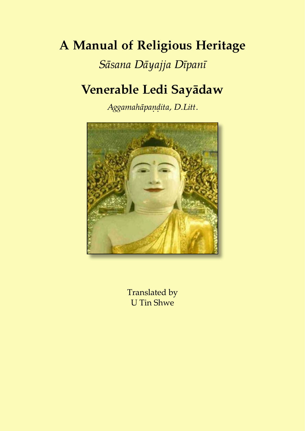## **A Manual of Religious Heritage**

### *Sāsana Dāyajja Dīpanī*

## **Venerable Ledi Sayādaw**

*Aggamahāpaṇḍita, D.Litt.*



Translated by U Tin Shwe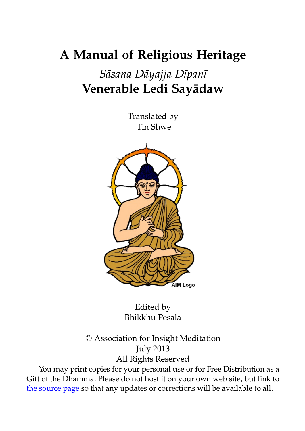## **A Manual of Religious Heritage**

### *Sāsana Dāyajja Dīpanī* **Venerable Ledi Sayādaw**

Translated by Tin Shwe



Edited by Bhikkhu Pesala

© Association for Insight Meditation July 2013 All Rights Reserved

You may print copies for your personal use or for Free Distribution as a Gift of the Dhamma. Please do not host it on your own web site, but link to [the source page](http://www.aimwell.org/Books/Ledi/Sasana/sasana.html) so that any updates or corrections will be available to all.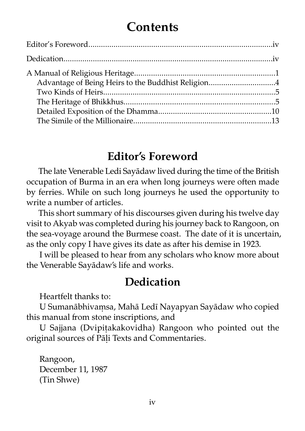### **Contents**

### **Editor's Foreword**

The late Venerable Ledi Sayādaw lived during the time of the British occupation of Burma in an era when long journeys were often made by ferries. While on such long journeys he used the opportunity to write a number of articles.

This short summary of his discourses given during his twelve day visit to Akyab was completed during his journey back to Rangoon, on the sea-voyage around the Burmese coast. The date of it is uncertain, as the only copy I have gives its date as after his demise in 1923.

I will be pleased to hear from any scholars who know more about the Venerable Sayādaw's life and works.

### **Dedication**

Heartfelt thanks to:

U Sumanābhivaṃsa, Mahā Ledī Nayapyan Sayādaw who copied this manual from stone inscriptions, and

U Sajjana (Dvipiṭakakovidha) Rangoon who pointed out the original sources of Pāḷi Texts and Commentaries.

Rangoon, December 11, 1987 (Tin Shwe)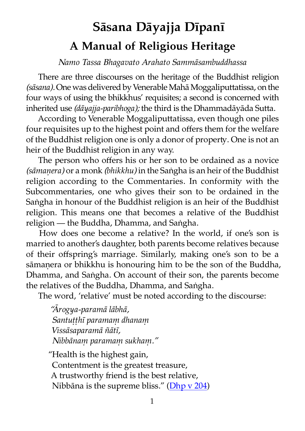# **Sāsana Dāyajja Dīpanī A Manual of Religious Heritage**

#### *Namo Tassa Bhagavato Arahato Sammāsambuddhassa*

There are three discourses on the heritage of the Buddhist religion (sāsana). One was delivered by Venerable Mahā Moggaliputtatissa, on the four ways of using the bhikkhus' requisites; a second is concerned with inherited use *(dāyajja-paribhoga);* the third is the Dhammadāyāda Sutta.

According to Venerable Moggaliputtatissa, even though one piles four requisites up to the highest point and offers them for the welfare of the Buddhist religion one is only a donor of property. One is not an heir of the Buddhist religion in any way.

The person who offers his or her son to be ordained as a novice *(sāmaṇera)* or a monk *(bhikkhu)* in the Saṅgha is an heir of the Buddhist religion according to the Commentaries. In conformity with the Subcommentaries, one who gives their son to be ordained in the Saṅgha in honour of the Buddhist religion is an heir of the Buddhist religion. This means one that becomes a relative of the Buddhist religion — the Buddha, Dhamma, and Saṅgha.

How does one become a relative? In the world, if one's son is married to another's daughter, both parents become relatives because of their offspring's marriage. Similarly, making one's son to be a sāmanera or bhikkhu is honouring him to be the son of the Buddha, Dhamma, and Saṅgha. On account of their son, the parents become the relatives of the Buddha, Dhamma, and Saṅgha.

The word, 'relative' must be noted according to the discourse:

*"Ārogya-paramā lābhā, Santuṭṭhī paramaṃ dhanaṃ Vissāsaparamā ñātī, Nibbānaṃ paramaṃ sukhaṃ."* "Health is the highest gain, Contentment is the greatest treasure, A trustworthy friend is the best relative, Nibbāna is the supreme bliss." ([Dhp v 204\)](http://www.aimwell.org/Books/Suttas/Dhammapada/15-Sukha/15-sukha.html#204)

1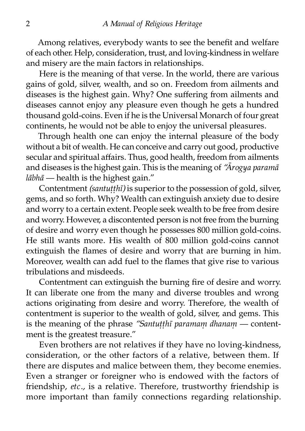Among relatives, everybody wants to see the benefit and welfare of each other. Help, consideration, trust, and loving-kindness in welfare and misery are the main factors in relationships.

Here is the meaning of that verse. In the world, there are various gains of gold, silver, wealth, and so on. Freedom from ailments and diseases is the highest gain. Why? One suffering from ailments and diseases cannot enjoy any pleasure even though he gets a hundred thousand gold-coins. Even if he is the Universal Monarch of four great continents, he would not be able to enjoy the universal pleasures.

Through health one can enjoy the internal pleasure of the body without a bit of wealth. He can conceive and carry out good, productive secular and spiritual affairs. Thus, good health, freedom from ailments and diseases is the highest gain. This is the meaning of *"Ārogya paramā lābhā* — health is the highest gain."

Contentment *(santutthī)* is superior to the possession of gold, silver, gems, and so forth. Why? Wealth can extinguish anxiety due to desire and worry to a certain extent. People seek wealth to be free from desire and worry. However, a discontented person is not free from the burning of desire and worry even though he possesses 800 million gold-coins. He still wants more. His wealth of 800 million gold-coins cannot extinguish the flames of desire and worry that are burning in him. Moreover, wealth can add fuel to the flames that give rise to various tribulations and misdeeds.

Contentment can extinguish the burning fire of desire and worry. It can liberate one from the many and diverse troubles and wrong actions originating from desire and worry. Therefore, the wealth of contentment is superior to the wealth of gold, silver, and gems. This is the meaning of the phrase "Santutthi paramam dhanam — contentment is the greatest treasure."

Even brothers are not relatives if they have no loving-kindness, consideration, or the other factors of a relative, between them. If there are disputes and malice between them, they become enemies. Even a stranger or foreigner who is endowed with the factors of friendship, *etc.*, is a relative. Therefore, trustworthy friendship is more important than family connections regarding relationship.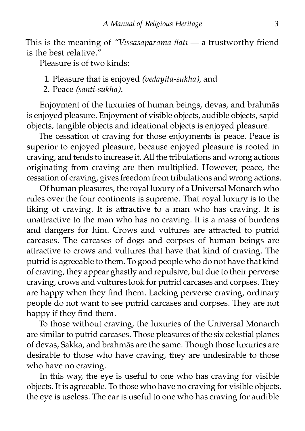This is the meaning of "Vissāsaparamā ñātī — a trustworthy friend is the best relative."

Pleasure is of two kinds:

- 1. Pleasure that is enjoyed *(vedayita-sukha),* and
- 2. Peace *(santi-sukha).*

Enjoyment of the luxuries of human beings, devas, and brahmās is enjoyed pleasure. Enjoyment of visible objects, audible objects, sapid objects, tangible objects and ideational objects is enjoyed pleasure.

The cessation of craving for those enjoyments is peace. Peace is superior to enjoyed pleasure, because enjoyed pleasure is rooted in craving, and tends to increase it. All the tribulations and wrong actions originating from craving are then multiplied. However, peace, the cessation of craving, gives freedom from tribulations and wrong actions.

Of human pleasures, the royal luxury of a Universal Monarch who rules over the four continents is supreme. That royal luxury is to the liking of craving. It is attractive to a man who has craving. It is unattractive to the man who has no craving. It is a mass of burdens and dangers for him. Crows and vultures are attracted to putrid carcases. The carcases of dogs and corpses of human beings are attractive to crows and vultures that have that kind of craving. The puid is agreeable to them. To good people who do not have that kind of craving, they appear ghastly and repulsive, but due to their perverse craving, crows and vultures look for putrid carcases and corpses. They are happy when they find them. Lacking perverse craving, ordinary people do not want to see putrid carcases and corpses. They are not happy if they find them.

To those without craving, the luxuries of the Universal Monarch are similar to putrid carcases. Those pleasures of the six celestial planes of devas, Sakka, and brahmās are the same. Though those luxuries are desirable to those who have craving, they are undesirable to those who have no craving.

In this way, the eye is useful to one who has craving for visible objects. It is agreeable. To those who have no craving for visible objects, the eye is useless. The ear is useful to one who has craving for audible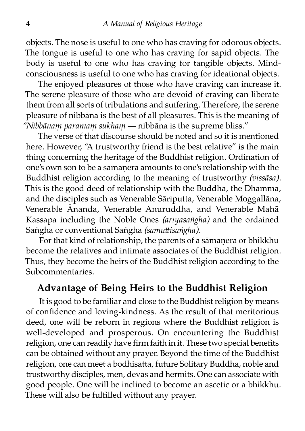objects. The nose is useful to one who has craving for odorous objects. The tongue is useful to one who has craving for sapid objects. The body is useful to one who has craving for tangible objects. Mindconsciousness is useful to one who has craving for ideational objects.

The enjoyed pleasures of those who have craving can increase it. The serene pleasure of those who are devoid of craving can liberate them from all sorts of tribulations and suffering. Therefore, the serene pleasure of nibbāna is the best of all pleasures. This is the meaning of *"Nibbānaṃ paramaṃ sukhaṃ* — nibbāna is the supreme bliss."

The verse of that discourse should be noted and so it is mentioned here. However, "A trustworthy friend is the best relative" is the main thing concerning the heritage of the Buddhist religion. Ordination of one's own son to be a sāmaṇera amounts to one's relationship with the Buddhist religion according to the meaning of trustworthy *(vissāsa)*. This is the good deed of relationship with the Buddha, the Dhamma, and the disciples such as Venerable Sāriputta, Venerable Moggallāna, Venerable Ānanda, Venerable Anuruddha, and Venerable Mahā Kassapa including the Noble Ones *(ariyasaṅgha)* and the ordained Saṅgha or conventional Saṅgha *(samuttisaṅgha)*.

For that kind of relationship, the parents of a sāmanera or bhikkhu become the relatives and intimate associates of the Buddhist religion. Thus, they become the heirs of the Buddhist religion according to the Subcommentaries.

#### **Advantage of Being Heirs to the Buddhist Religion**

It is good to be familiar and close to the Buddhist religion by means of confidence and loving-kindness. As the result of that meritorious deed, one will be reborn in regions where the Buddhist religion is well-developed and prosperous. On encountering the Buddhist religion, one can readily have firm faith in it. These two special benefits can be obtained without any prayer. Beyond the time of the Buddhist religion, one can meet a bodhisatta, future Solitary Buddha, noble and ustworthy disciples, men, devas and hermits. One can associate with good people. One will be inclined to become an ascetic or a bhikkhu. These will also be fulfilled without any prayer.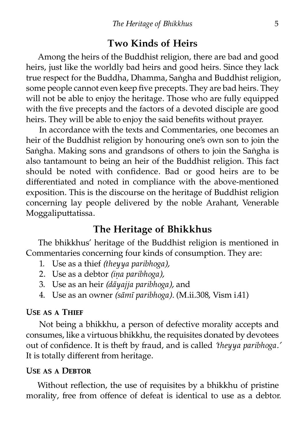#### **Two Kinds of Heirs**

Among the heirs of the Buddhist religion, there are bad and good heirs, just like the worldly bad heirs and good heirs. Since they lack true respect for the Buddha, Dhamma, Saṅgha and Buddhist religion, some people cannot even keep five precepts. They are bad heirs. They will not be able to enjoy the heritage. Those who are fully equipped with the five precepts and the factors of a devoted disciple are good heirs. They will be able to enjoy the said benefits without prayer.

In accordance with the texts and Commentaries, one becomes an heir of the Buddhist religion by honouring one's own son to join the Saṅgha. Making sons and grandsons of others to join the Saṅgha is also tantamount to being an heir of the Buddhist religion. This fact should be noted with confidence. Bad or good heirs are to be differentiated and noted in compliance with the above-mentioned exposition. This is the discourse on the heritage of Buddhist religion concerning lay people delivered by the noble Arahant, Venerable Moggaliputtatissa.

#### **The Heritage of Bhikkhus**

The bhikkhus' heritage of the Buddhist religion is mentioned in Commentaries concerning four kinds of consumption. They are:

- 1. Use as a thief *(theyya paribhoga),*
- 2. Use as a debtor *(iṇa paribhoga),*
- 3. Use as an heir *(dāyajja paribhoga),* and
- 4. Use as an owner *(sāmī paribhoga).* (M.ii.308, Vism i.41)

#### **USE AS A THIEF**

Not being a bhikkhu, a person of defective morality accepts and consumes, like a virtuous bhikkhu, the requisites donated by devotees out of confidence. It is theft by fraud, and is called *'theyya paribhoga.'* It is totally different from heritage.

#### **USE AS A DEBTOR**

Without reflection, the use of requisites by a bhikkhu of pristine morality, free from offence of defeat is identical to use as a debtor.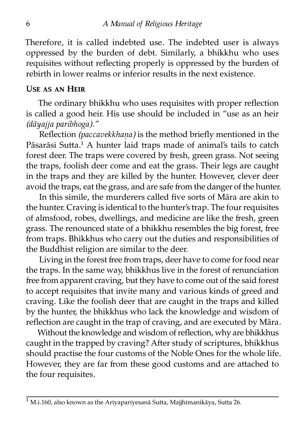Therefore, it is called indebted use. The indebted user is always oppressed by the burden of debt. Similarly, a bhikkhu who uses requisites without reflecting properly is oppressed by the burden of rebirth in lower realms or inferior results in the next existence.

#### **U�ᴇ ᴀ� ᴀɴ Hᴇɪʀ**

The ordinary bhikkhu who uses requisites with proper reflection is called a good heir. His use should be included in "use as an heir *(dāyajja paribhoga)."*

Reflection *(paccavekkhaṇa)* is the method briefly mentioned in the Pāsarāsi Sutta.<sup>1</sup> A hunter laid traps made of animal's tails to catch forest deer. The traps were covered by fresh, green grass. Not seeing the traps, foolish deer come and eat the grass. Their legs are caught in the traps and they are killed by the hunter. However, clever deer avoid the traps, eat the grass, and are safe from the danger of the hunter.

In this simile, the murderers called five sorts of Māra are akin to the hunter. Craving is identical to the hunter's trap. The four requisites of almsfood, robes, dwellings, and medicine are like the fresh, green grass. The renounced state of a bhikkhu resembles the big forest, free from traps. Bhikkhus who carry out the duties and responsibilities of the Buddhist religion are similar to the deer.

Living in the forest free from traps, deer have to come for food near the traps. In the same way, bhikkhus live in the forest of renunciation free from apparent craving, but they have to come out of the said forest to accept requisites that invite many and various kinds of greed and craving. Like the foolish deer that are caught in the traps and killed by the hunter, the bhikkhus who lack the knowledge and wisdom of reflection are caught in the trap of craving, and are executed by Māra.

Without the knowledge and wisdom of reflection, why are bhikkhus caught in the trapped by craving? After study of scriptures, bhikkhus should practise the four customs of the Noble Ones for the whole life. However, they are far from these good customs and are attached to the four requisites.

<sup>&</sup>lt;sup>1</sup> M.i.160, also known as the Ariyapariyesanā Sutta, Majjhimanikāya, Sutta 26.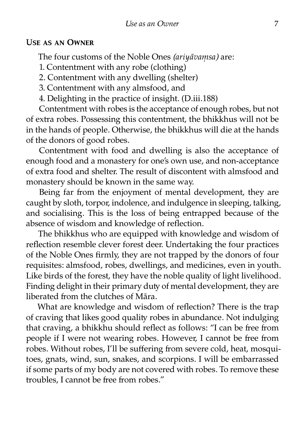#### **USE AS AN OWNER**

The four customs of the Noble Ones *(ariyāvaṃsa)* are:

1. Contentment with any robe (clothing)

2. Contentment with any dwelling (shelter)

3. Contentment with any almsfood, and

4. Delighting in the practice of insight. (D.iii.188)

Contentment with robes is the acceptance of enough robes, but not of extra robes. Possessing this contentment, the bhikkhus will not be in the hands of people. Otherwise, the bhikkhus will die at the hands of the donors of good robes.

Contentment with food and dwelling is also the acceptance of enough food and a monastery for one's own use, and non-acceptance of extra food and shelter. The result of discontent with almsfood and monastery should be known in the same way.

Being far from the enjoyment of mental development, they are caught by sloth, torpor, indolence, and indulgence in sleeping, talking, and socialising. This is the loss of being entrapped because of the absence of wisdom and knowledge of reflection.

The bhikkhus who are equipped with knowledge and wisdom of reflection resemble clever forest deer. Undertaking the four practices of the Noble Ones firmly, they are not trapped by the donors of four requisites: almsfood, robes, dwellings, and medicines, even in youth. Like birds of the forest, they have the noble quality of light livelihood. Finding delight in their primary duty of mental development, they are liberated from the clutches of Māra

What are knowledge and wisdom of reflection? There is the trap of craving that likes good quality robes in abundance. Not indulging that craving, a bhikkhu should reflect as follows: "I can be free from people if I were not wearing robes. However, I cannot be free from robes. Without robes, I'll be suffering from severe cold, heat, mosquitoes, gnats, wind, sun, snakes, and scorpions. I will be embarrassed if some parts of my body are not covered with robes. To remove these troubles. I cannot be free from robes."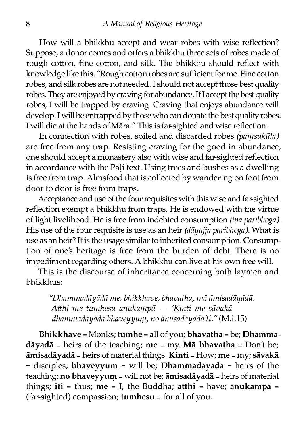How will a bhikkhu accept and wear robes with wise reflection? Suppose, a donor comes and offers a bhikkhu three sets of robes made of rough cotton, fine cotton, and silk. The bhikkhu should reflect with knowledge like this. "Rough cotton robes are sufficient for me. Fine cotton robes, and silk robes are not needed. I should not accept those best quali robes. They are enjoyed by craving for abundance. If I accept the best quali robes, I will be trapped by craving. Craving that enjoys abundance will develop. I will be entrapped by those who can donate the best quality robes. I will die at the hands of Māra." This is far-sighted and wise reflection.

In connection with robes, soiled and discarded robes *(paṃsukūla)* are free from any trap. Resisting craving for the good in abundance, one should accept a monastery also with wise and far-sighted reflection in accordance with the Pāli text. Using trees and bushes as a dwelling is free from trap. Almsfood that is collected by wandering on foot from door to door is free from traps.

Acceptance and use of the four requisites with this wise and far-sighted reflection exempt a bhikkhu from traps. He is endowed with the virtue of light livelihood. He is free from indebted consumption *(ina paribhoga)*. His use of the four requisite is use as an heir *(dāyajja paribhoga).* What is use as an heir? It is the usage similar to inherited consumption. Consumption of one's heritage is free from the burden of debt. There is no impediment regarding others. A bhikkhu can live at his own free will.

This is the discourse of inheritance concerning both laymen and bhikkhus:

*"Dhammadāyādā me, bhikkhave, bhavatha, mā āmisadāyādā. Ahi me tumhesu anukampā — 'Kinti me sāvakā dhammadāyādā bhaveyyuṃ, no āmisadāyādā'ti."* (M.i.15)

**Bhikkhave** = Monks; t**umhe** = all of you; **bhavatha** = be; **Dhammadāyadā** = heirs of the teaching; **me** = my. **Mā bhavatha** = Don't be; **āmisadāyadā** = heirs of material things. **Kinti** = How; **me** = my; **sāvakā** = disciples; **bhaveyyuṃ** = will be; **Dhammadāyadā** = heirs of the teaching; **no bhaveyyuṃ** = will not be; **āmisadāyadā** = heirs of material things; iti = thus; me = I, the Buddha;  $\text{atthi}$  = have;  $\text{anukampā}$  = (far-sighted) compassion; **tumhesu** = for all of you.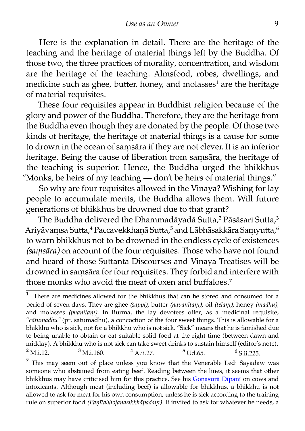Here is the explanation in detail. There are the heritage of the teaching and the heritage of material things left by the Buddha. Of those two, the three practices of morality, concentration, and wisdom are the heritage of the teaching. Almsfood, robes, dwellings, and medicine such as ghee, butter, honey, and molasses<sup>1</sup> are the heritage of material requisites.

These four requisites appear in Buddhist religion because of the glory and power of the Buddha. Therefore, they are the heritage from the Buddha even though they are donated by the people. Of those two kinds of heritage, the heritage of material things is a cause for some to drown in the ocean of saṃsāra if they are not clever. It is an inferior heritage. Being the cause of liberation from samsāra, the heritage of the teaching is superior. Hence, the Buddha urged the bhikkhus "Monks, be heirs of my teaching — don't be heirs of material things."

So why are four requisites allowed in the Vinaya? Wishing for lay people to accumulate merits, the Buddha allows them. Will future generations of bhikkhus be drowned due to that grant?

The Buddha delivered the Dhammadāyadā Sutta,<sup>2</sup> Pāsāsari Sutta,<sup>3</sup> Ariyāvamsa Sutta,<sup>4</sup> Paccavekkhanā Sutta,<sup>5</sup> and Lābhāsakkāra Samyutta,<sup>6</sup> to warn bhikkhus not to be drowned in the endless cycle of existences *(saṃsāra)* on account of the four requisites. Those who have not found and heard of those Suttanta Discourses and Vinaya Treatises will be drowned in saṃsāra for four requisites. They forbid and interfere with those monks who avoid the meat of oxen and buffaloes.<sup>7</sup>

 $^{2}$  M.i.12.  $^{3}$  M.i.160.  $^{4}$  A.ii.27.  $^{5}$  Ud.65.  $^{6}$  S.ii.225.

 $7$  This may seem out of place unless you know that the Venerable Ledi Sayadaw was someone who abstained from eating beef. Reading between the lines, it seems that other bhikkhus may have criticised him for this practice. See his Gonasurā Dīpanī on cows and intoxicants. Although meat (including beef) is allowable for bhikkhus, a bhikkhu is not allowed to ask for meat for his own consumption, unless he is sick according to the training rule on superior food *(Paṇītabhojanasikkhāpadaṃ).* If invited to ask for whatever he needs, a

There are medicines allowed for the bhikkhus that can be stored and consumed for a period of seven days. They are ghee *(sappi),* butter *(navanītaṃ),* oil *(telaṃ),* honey *(madhu),* and molasses *(phanitaṃ).* In Burma, the lay devotees offer, as a medicinal requisite, "*cātumadhu"* (pr. satumadhu), a concoction of the four sweet things. This is allowable for a bhikkhu who is sick, not for a bhikkhu who is not sick. "Sick" means that he is famished due to being unable to obtain or eat suitable solid food at the right time (between dawn and midday). A bhikkhu who is not sick can take sweet drinks to sustain himself (editor's note).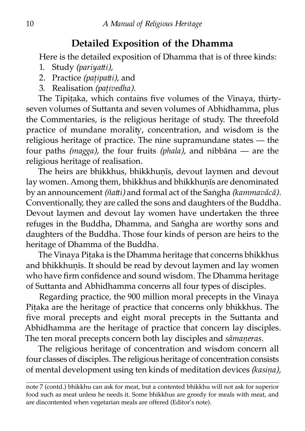#### **Detailed Exposition of the Dhamma**

Here is the detailed exposition of Dhamma that is of three kinds:

- 1. Study *(pariyai),*
- 2. Practice *(paṭipai),* and
- 3. Realisation *(paṭivedha).*

The Tipiṭaka, which contains five volumes of the Vinaya, thirtyseven volumes of Suttanta and seven volumes of Abhidhamma, plus the Commentaries, is the religious heritage of study. The threefold practice of mundane morality, concentration, and wisdom is the religious heritage of practice. The nine supramundane states — the four paths *(magga)*, the four fruits *(phala)*, and nibbāna — are the religious heritage of realisation.

The heirs are bhikkhus, bhikkhunīs, devout laymen and devout lay women. Among them, bhikkhus and bhikkhunīs are denominated by an announcement *(ñatti)* and formal act of the Saṅgha *(kammavācā)*. Conventionally, they are called the sons and daughters of the Buddha. Devout laymen and devout lay women have undertaken the three refuges in the Buddha, Dhamma, and Saṅgha are worthy sons and daughters of the Buddha. Those four kinds of person are heirs to the heritage of Dhamma of the Buddha.

The Vinaya Piṭaka is the Dhamma heritage that concerns bhikkhus and bhikkhunīs. It should be read by devout laymen and lay women who have firm confidence and sound wisdom. The Dhamma heritage of Suttanta and Abhidhamma concerns all four types of disciples.

Regarding practice, the 900 million moral precepts in the Vinaya Pitaka are the heritage of practice that concerns only bhikkhus. The five moral precepts and eight moral precepts in the Suttanta and Abhidhamma are the heritage of practice that concern lay disciples. The ten moral precepts concern both lay disciples and *sāmaṇeras*.

The religious heritage of concentration and wisdom concern all four classes of disciples. The religious heritage of concentration consists of mental development using ten kinds of meditation devices *(kasiṇa),*

note 7 (contd.) bhikkhu can ask for meat, but a contented bhikkhu will not ask for superior food such as meat unless he needs it. Some bhikkhus are greedy for meals with meat, and are discontented when vegetarian meals are offered (Editor's note).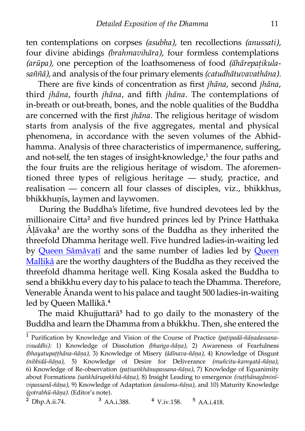ten contemplations on corpses *(asubha),* ten recollections *(anussati),* four divine abidings *(brahmavihāra),* four formless contemplations *(arūpa),* one perception of the loathsomeness of food *(āhārepaṭikulasaññā),* and analysis of the four primary elements *(catudhātuvavathāna).*

There are five kinds of concentration as first *jhāna*, second *jhāna*, third *jhāna*, fourth *jhāna*, and fih *jhāna*. The contemplations of in-breath or out-breath, bones, and the noble qualities of the Buddha are concerned with the first *jhāna*. The religious heritage of wisdom starts from analysis of the five aggregates, mental and physical phenomena, in accordance with the seven volumes of the Abhidhamma. Analysis of three characteristics of impermanence, suffering, and not-self, the ten stages of insight-knowledge,<sup>1</sup> the four paths and the four fruits are the religious heritage of wisdom. The aforementioned three types of religious heritage  $-$  study, practice, and realisation — concern all four classes of disciples, viz., bhikkhus, bhikkhunīs, laymen and laywomen.

During the Buddha's lifetime, five hundred devotees led by the millionaire Citta<sup>2</sup> and five hundred princes led by Prince Hatthaka  $\bar{A}$ lāvaka<sup>3</sup> are the worthy sons of the Buddha as they inherited the threefold Dhamma heritage well. Five hundred ladies-in-waiting led by [Queen Sāmāvatī](http://www.aimwell.org/DPPN/samavati.htm) and the same number of ladies led by [Queen](http://www.aimwell.org/DPPN/mallikaa.htm) [Mallikā](http://www.aimwell.org/DPPN/mallikaa.htm) are the worthy daughters of the Buddha as they received the threefold dhamma heritage well. King Kosala asked the Buddha to send a bhikkhu every day to his palace to teach the Dhamma. Therefore, Venerable Ānanda went to his palace and taught 500 ladies-in-waiting led by Queen Mallikā.<sup>4</sup>

The maid Khujjuttarā<sup>5</sup> had to go daily to the monastery of the Buddha and learn the Dhamma from a bhikkhu. Then, she entered the

 $\frac{2}{}$  Dhp.A.ii.74.  $\frac{3}{}$  AA.i.388.  $\frac{4}{}$  V.iv.158.  $\frac{5}{}$  AA.i.418.

<sup>�</sup> Purification by Knowledge and Vision of the Course of Practice *(paṭipadā-ñāṇadassanavisuddhi):* 1) Knowledge of Dissolution *(bhaṅga-ñāṇa),* 2) Awareness of Fearfulness *(bhayatupaṭṭhāna-ñāṇa),* 3) Knowledge of Misery *(ādīnava-ñāṇa),* 4) Knowledge of Disgust *(nibbidā-ñāṇa),* 5) Knowledge of Desire for Deliverance *(muñcitu-kamyatā-ñāṇa),* 6) Knowledge of Re-observation *(paṭisaṅkhānupassana-ñāṇa),* 7) Knowledge of Equanimity about Formations *(saṅkhārupekkhā-ñāṇa),* 8) Insight Leadin[g to emergence](http://www.aimwell.org/Books/Ledi/Cows/cows.html) *(vuṭṭhānagāminīvipassanā-ñāṇa),* 9) Knowledge of Adaptation *(anuloma-ñāṇa),* and 10) Maturity Knowledge *(gotrabhū-ñāṇa).* (Editor's note).<br><sup>2</sup> Dhɒ.A.ii.74. <sup>3</sup> A A i 388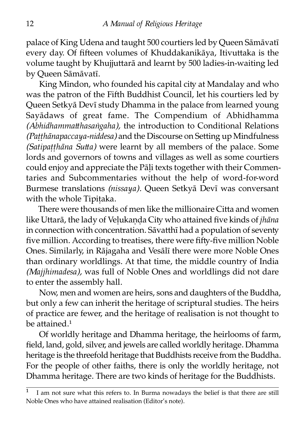palace of King Udena and taught 500 courtiers led by Queen Sāmāvatī every day. Of fifteen volumes of Khuddakanikāya, Itivuttaka is the volume taught by Khujjuttarā and learnt by 500 ladies-in-waiting led by Queen Sāmāvatī.

King Mindon, who founded his capital city at Mandalay and who was the patron of the Fifth Buddhist Council, let his courtiers led by Queen Setkyā Devī study Dhamma in the palace from learned young Sayādaws of great fame. The Compendium of Abhidhamma *(Abhidhammatthasaṅgaha)*, the introduction to Conditional Relations *(Patthānapaccaya-niddesa)* and the Discourse on Setting up Mindfulness *(Satipatthāna Sutta)* were learnt by all members of the palace. Some lords and governors of towns and villages as well as some courtiers could enjoy and appreciate the Pāli texts together with their Commentaries and Subcommentaries without the help of word-for-word Burmese translations *(nissaya)*. Queen Setkyā Devī was conversant with the whole Tipitaka.

There were thousands of men like the millionaire Citta and women like Uttarā, the lady of Velukanda City who attained five kinds of *jhāna* in connection with concentration. Sāvatthī had a population of seventy five million. According to treatises, there were fifty-five million Noble Ones. Similarly, in Rājagaha and Vesālī there were more Noble Ones than ordinary worldlings. At that time, the middle country of India *(Majjhimadesa),* was full of Noble Ones and worldlings did not dare to enter the assembly hall.

Now, men and women are heirs, sons and daughters of the Buddha, but only a few can inherit the heritage of scriptural studies. The heirs of practice are fewer, and the heritage of realisation is not thought to be attained. $<sup>1</sup>$ </sup>

Of worldly heritage and Dhamma heritage, the heirlooms of farm, field, land, gold, silver, and jewels are called worldly heritage. Dhamma heritage is the threefold heritage that Buddhists receive from the Buddha. For the people of other faiths, there is only the worldly heritage, not Dhamma heritage. There are two kinds of heritage for the Buddhists.

<sup>�</sup> I am not sure what this refers to. In Burma nowadays the belief is that there are still Noble Ones who have attained realisation (Editor's note).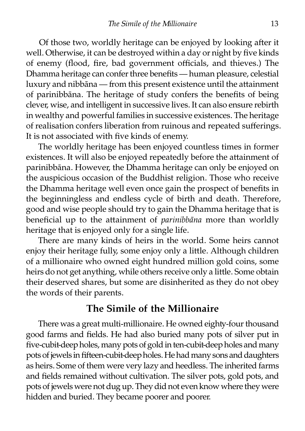Of those two, worldly heritage can be enjoyed by looking after it well. Otherwise, it can be destroyed within a day or night by five kinds of enemy (flood, fire, bad government officials, and thieves.) The Dhamma heritage can confer three benefits — human pleasure, celestial luxury and nibbāna — from this present existence until the attainment of parinibbāna. The heritage of study confers the benefits of being clever, wise, and intelligent in successive lives. It can also ensure rebirth in wealthy and powerful families in successive existences. The heritage of realisation confers liberation from ruinous and repeated sufferings. It is not associated with five kinds of enemy.

The worldly heritage has been enjoyed countless times in former existences. It will also be enjoyed repeatedly before the attainment of parinibbāna. However, the Dhamma heritage can only be enjoyed on the auspicious occasion of the Buddhist religion. Those who receive the Dhamma heritage well even once gain the prospect of benefits in the beginningless and endless cycle of birth and death. Therefore, good and wise people should try to gain the Dhamma heritage that is beneficial up to the attainment of *parinibbāna* more than worldly heritage that is enjoyed only for a single life.

There are many kinds of heirs in the world. Some heirs cannot enjoy their heritage fully, some enjoy only a little. Although children of a millionaire who owned eight hundred million gold coins, some heirs do not get anything, while others receive only a little. Some obtain their deserved shares, but some are disinherited as they do not obey the words of their parents.

#### **The Simile of the Millionaire**

There was a great multi-millionaire. He owned eighty-four thousand good farms and fields. He had also buried many pots of silver put in five-cubit-deep holes, many pots of gold in ten-cubit-deep holes and many pots of jewels in fifteen-cubit-deep holes. He had many sons and daughters as heirs. Some of them were very lazy and heedless. The inherited farms and fields remained without cultivation. The silver pots, gold pots, and pots of jewels were not dug up. They did not even know where they were hidden and buried. They became poorer and poorer.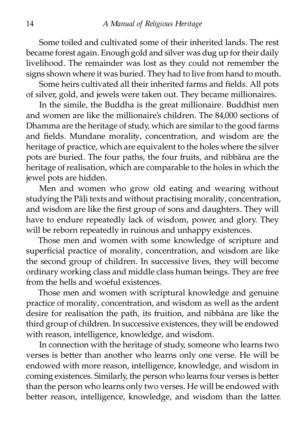Some toiled and cultivated some of their inherited lands. The rest became forest again. Enough gold and silver was dug up for their daily livelihood. The remainder was lost as they could not remember the signs shown where it was buried. They had to live from hand to mouth.

Some heirs cultivated all their inherited farms and fields. All pots of silver, gold, and jewels were taken out. They became millionaires.

In the simile, the Buddha is the great millionaire. Buddhist men and women are like the millionaire's children. The 84,000 sections of Dhamma are the heritage of study, which are similar to the good farms and fields. Mundane morality, concentration, and wisdom are the heritage of practice, which are equivalent to the holes where the silver pots are buried. The four paths, the four fruits, and nibbāna are the heritage of realisation, which are comparable to the holes in which the jewel pots are hidden.

Men and women who grow old eating and wearing without studying the Pāli texts and without practising morality, concentration, and wisdom are like the first group of sons and daughters. They will have to endure repeatedly lack of wisdom, power, and glory. They will be reborn repeatedly in ruinous and unhappy existences.

Those men and women with some knowledge of scripture and superficial practice of morality, concentration, and wisdom are like the second group of children. In successive lives, they will become ordinary working class and middle class human beings. They are free from the hells and woeful existences.

Those men and women with scriptural knowledge and genuine practice of morality, concentration, and wisdom as well as the ardent desire for realisation the path, its fruition, and nibbāna are like the third group of children. In successive existences, they will be endowed with reason, intelligence, knowledge, and wisdom.

In connection with the heritage of study, someone who learns two verses is better than another who learns only one verse. He will be endowed with more reason, intelligence, knowledge, and wisdom in coming existences. Similarly, the person who learns four verses is better than the person who learns only two verses. He will be endowed with better reason, intelligence, knowledge, and wisdom than the latter.